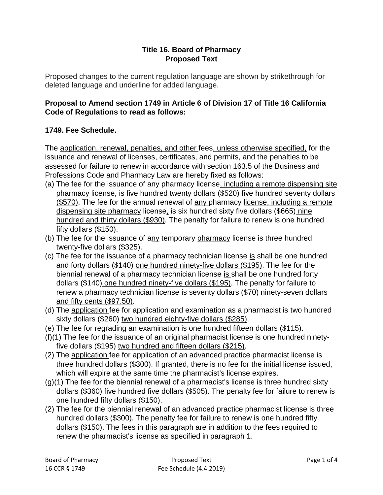## **Title 16. Board of Pharmacy Proposed Text**

Proposed changes to the current regulation language are shown by strikethrough for deleted language and underline for added language.

## **Proposal to Amend section 1749 in Article 6 of Division 17 of Title 16 California Code of Regulations to read as follows:**

## **1749. Fee Schedule.**

The application, renewal, penalties, and other fees, unless otherwise specified, for the issuance and renewal of licenses, certificates, and permits, and the penalties to be assessed for failure to renew in accordance with section 163.5 of the Business and Professions Code and Pharmacy Law are hereby fixed as follows:

- (a) The fee for the issuance of any pharmacy license, including a remote dispensing site pharmacy license, is five hundred twenty dollars (\$520) five hundred seventy dollars (\$570). The fee for the annual renewal of any pharmacy license, including a remote dispensing site pharmacy license, is six hundred sixty five dollars (\$665) nine hundred and thirty dollars (\$930). The penalty for failure to renew is one hundred fifty dollars (\$150).
- (b) The fee for the issuance of any temporary pharmacy license is three hundred twenty-five dollars (\$325).
- (c) The fee for the issuance of a pharmacy technician license is shall be one hundred and forty dollars (\$140) one hundred ninety-five dollars (\$195). The fee for the biennial renewal of a pharmacy technician license is-shall be one hundred forty dollars (\$140) one hundred ninety-five dollars (\$195). The penalty for failure to renew a pharmacy technician license is seventy dollars (\$70) ninety-seven dollars and fifty cents (\$97.50).
- (d) The application fee for application and examination as a pharmacist is two hundred sixty dollars (\$260) two hundred eighty-five dollars (\$285).
- (e) The fee for regrading an examination is one hundred fifteen dollars (\$115).
- $(f)(1)$  The fee for the issuance of an original pharmacist license is one hundred ninetyfive dollars (\$195) two hundred and fifteen dollars (\$215).
- (2) The application fee for application of an advanced practice pharmacist license is three hundred dollars (\$300). If granted, there is no fee for the initial license issued, which will expire at the same time the pharmacist's license expires.
- $(q)(1)$  The fee for the biennial renewal of a pharmacist's license is three hundred sixty dollars (\$360) five hundred five dollars (\$505). The penalty fee for failure to renew is one hundred fifty dollars (\$150).
- (2) The fee for the biennial renewal of an advanced practice pharmacist license is three hundred dollars (\$300). The penalty fee for failure to renew is one hundred fifty dollars (\$150). The fees in this paragraph are in addition to the fees required to renew the pharmacist's license as specified in paragraph 1.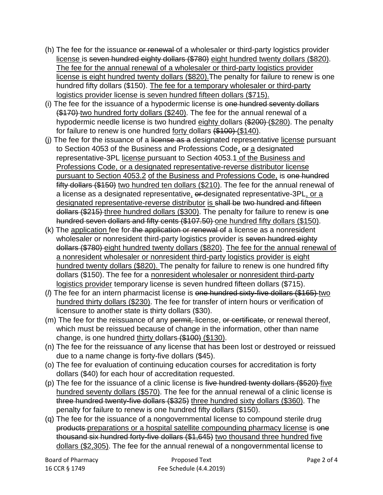- (h) The fee for the issuance or renewal of a wholesaler or third-party logistics provider license is seven hundred eighty dollars (\$780) eight hundred twenty dollars (\$820). The fee for the annual renewal of a wholesaler or third-party logistics provider license is eight hundred twenty dollars (\$820).The penalty for failure to renew is one hundred fifty dollars (\$150). The fee for a temporary wholesaler or third-party logistics provider license is seven hundred fifteen dollars (\$715).
- (i) The fee for the issuance of a hypodermic license is one hundred seventy dollars  $( $$170$ )$ -two hundred forty dollars (\$240). The fee for the annual renewal of a hypodermic needle license is two hundred eighty dollars (\$200) (\$280). The penalty for failure to renew is one hundred forty dollars (\$100) (\$140).
- (i) The fee for the issuance of a license as a designated representative license pursuant to Section 4053 of the Business and Professions Code, or a designated representative-3PL license pursuant to Section 4053.1 of the Business and Professions Code, or a designated representative-reverse distributor license pursuant to Section 4053.2 of the Business and Professions Code, is one hundred fifty dollars (\$150) two hundred ten dollars (\$210). The fee for the annual renewal of a license as a designated representative, or designated representative-3PL, or a designated representative-reverse distributor is shall be two hundred and fifteen dollars (\$215) three hundred dollars (\$300). The penalty for failure to renew is one hundred seven dollars and fifty cents (\$107.50) one hundred fifty dollars (\$150).
- (k) The application fee for the application or renewal of a license as a nonresident wholesaler or nonresident third-party logistics provider is seven hundred eighty dollars (\$780) eight hundred twenty dollars (\$820). The fee for the annual renewal of a nonresident wholesaler or nonresident third-party logistics provider is eight hundred twenty dollars (\$820). The penalty for failure to renew is one hundred fifty dollars (\$150). The fee for a nonresident wholesaler or nonresident third-party logistics provider temporary license is seven hundred fifteen dollars (\$715).
- (*l*) The fee for an intern pharmacist license is one hundred sixty-five dollars (\$165) two hundred thirty dollars (\$230). The fee for transfer of intern hours or verification of licensure to another state is thirty dollars (\$30).
- (m) The fee for the reissuance of any permit, license, or certificate, or renewal thereof, which must be reissued because of change in the information, other than name change, is one hundred thirty dollars (\$100) (\$130).
- (n) The fee for the reissuance of any license that has been lost or destroyed or reissued due to a name change is forty-five dollars (\$45).
- (o) The fee for evaluation of continuing education courses for accreditation is forty dollars (\$40) for each hour of accreditation requested.
- (p) The fee for the issuance of a clinic license is five hundred twenty dollars  $(\$520)$  five hundred seventy dollars (\$570). The fee for the annual renewal of a clinic license is three hundred twenty-five dollars (\$325) three hundred sixty dollars (\$360). The penalty for failure to renew is one hundred fifty dollars (\$150).
- (q) The fee for the issuance of a nongovernmental license to compound sterile drug products-preparations or a hospital satellite compounding pharmacy license is one thousand six hundred forty-five dollars (\$1,645) two thousand three hundred five dollars (\$2,305). The fee for the annual renewal of a nongovernmental license to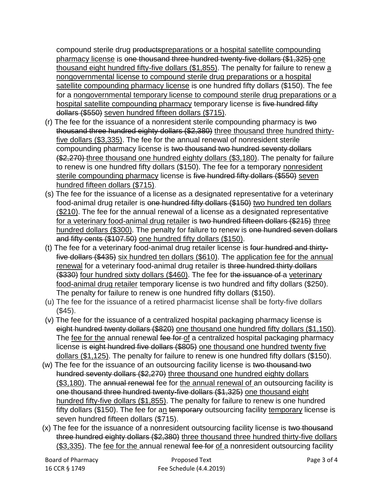compound sterile drug productspreparations or a hospital satellite compounding pharmacy license is one thousand three hundred twenty-five dollars (\$1,325) one thousand eight hundred fifty-five dollars (\$1,855). The penalty for failure to renew a nongovernmental license to compound sterile drug preparations or a hospital satellite compounding pharmacy license is one hundred fifty dollars (\$150). The fee for a nongovernmental temporary license to compound sterile drug preparations or a hospital satellite compounding pharmacy temporary license is five hundred fifty dollars (\$550) seven hundred fifteen dollars (\$715).

- (r) The fee for the issuance of a nonresident sterile compounding pharmacy is two thousand three hundred eighty dollars (\$2,380) three thousand three hundred thirtyfive dollars (\$3,335). The fee for the annual renewal of nonresident sterile compounding pharmacy license is two thousand two hundred seventy dollars  $( $\frac{270}{2}$ )$  three thousand one hundred eighty dollars (\$3,180). The penalty for failure to renew is one hundred fifty dollars (\$150). The fee for a temporary nonresident sterile compounding pharmacy license is five hundred fifty dollars (\$550) seven hundred fifteen dollars (\$715).
- (s) The fee for the issuance of a license as a designated representative for a veterinary food-animal drug retailer is one hundred fifty dollars (\$150) two hundred ten dollars (\$210). The fee for the annual renewal of a license as a designated representative for a veterinary food-animal drug retailer is two hundred fifteen dollars (\$215) three hundred dollars (\$300). The penalty for failure to renew is one hundred seven dollars and fifty cents (\$107.50) one hundred fifty dollars (\$150).
- (t) The fee for a veterinary food-animal drug retailer license is four hundred and thirtyfive dollars (\$435) six hundred ten dollars (\$610). The application fee for the annual renewal for a veterinary food-animal drug retailer is three hundred thirty dollars (\$330) four hundred sixty dollars (\$460). The fee for the issuance of a veterinary food-animal drug retailer temporary license is two hundred and fifty dollars (\$250). The penalty for failure to renew is one hundred fifty dollars (\$150).
- (u) The fee for the issuance of a retired pharmacist license shall be forty-five dollars (\$45).
- (v) The fee for the issuance of a centralized hospital packaging pharmacy license is eight hundred twenty dollars (\$820) one thousand one hundred fifty dollars (\$1,150). The fee for the annual renewal fee for of a centralized hospital packaging pharmacy license is eight hundred five dollars (\$805) one thousand one hundred twenty five dollars (\$1,125). The penalty for failure to renew is one hundred fifty dollars (\$150).
- (w) The fee for the issuance of an outsourcing facility license is two thousand two hundred seventy dollars (\$2,270) three thousand one hundred eighty dollars (\$3,180). The annual renewal fee for the annual renewal of an outsourcing facility is one thousand three hundred twenty-five dollars (\$1,325) one thousand eight hundred fifty-five dollars (\$1,855). The penalty for failure to renew is one hundred fifty dollars (\$150). The fee for an temporary outsourcing facility temporary license is seven hundred fifteen dollars (\$715).
- (x) The fee for the issuance of a nonresident outsourcing facility license is two thousand three hundred eighty dollars (\$2,380) three thousand three hundred thirty-five dollars  $($3,335)$ . The fee for the annual renewal fee for of a nonresident outsourcing facility